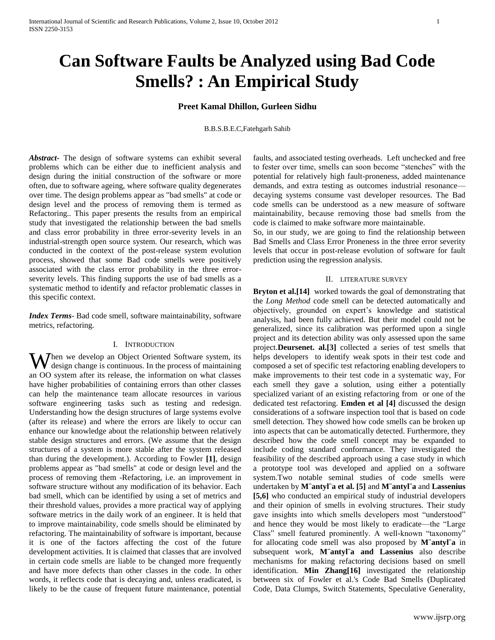# **Can Software Faults be Analyzed using Bad Code Smells? : An Empirical Study**

# **Preet Kamal Dhillon, Gurleen Sidhu**

B.B.S.B.E.C,Fatehgarh Sahib

*Abstract***-** The design of software systems can exhibit several problems which can be either due to inefficient analysis and design during the initial construction of the software or more often, due to software ageing, where software quality degenerates over time. The design problems appear as "bad smells" at code or design level and the process of removing them is termed as Refactoring.. This paper presents the results from an empirical study that investigated the relationship between the bad smells and class error probability in three error-severity levels in an industrial-strength open source system. Our research, which was conducted in the context of the post-release system evolution process, showed that some Bad code smells were positively associated with the class error probability in the three errorseverity levels. This finding supports the use of bad smells as a systematic method to identify and refactor problematic classes in this specific context.

*Index Terms*- Bad code smell, software maintainability, software metrics, refactoring.

### I. INTRODUCTION

When we develop an Object Oriented Software system, its design change is continuous. In the process of maintaining  $\mathbf V$  design change is continuous. In the process of maintaining an OO system after its release, the information on what classes have higher probabilities of containing errors than other classes can help the maintenance team allocate resources in various software engineering tasks such as testing and redesign. Understanding how the design structures of large systems evolve (after its release) and where the errors are likely to occur can enhance our knowledge about the relationship between relatively stable design structures and errors. (We assume that the design structures of a system is more stable after the system released than during the development.). According to Fowler **[1]**, design problems appear as "bad smells" at code or design level and the process of removing them -Refactoring, i.e. an improvement in software structure without any modification of its behavior. Each bad smell, which can be identified by using a set of metrics and their threshold values, provides a more practical way of applying software metrics in the daily work of an engineer. It is held that to improve maintainability, code smells should be eliminated by refactoring. The maintainability of software is important, because it is one of the factors affecting the cost of the future development activities. It is claimed that classes that are involved in certain code smells are liable to be changed more frequently and have more defects than other classes in the code. In other words, it reflects code that is decaying and, unless eradicated, is likely to be the cause of frequent future maintenance, potential

faults, and associated testing overheads. Left unchecked and free to fester over time, smells can soon become "stenches" with the potential for relatively high fault-proneness, added maintenance demands, and extra testing as outcomes industrial resonance decaying systems consume vast developer resources. The Bad code smells can be understood as a new measure of software maintainability, because removing those bad smells from the code is claimed to make software more maintainable.

So, in our study, we are going to find the relationship between Bad Smells and Class Error Proneness in the three error severity levels that occur in post-release evolution of software for fault prediction using the regression analysis.

# II. LITERATURE SURVEY

**Bryton et al.[14]** worked towards the goal of demonstrating that the *Long Method* code smell can be detected automatically and objectively, grounded on expert's knowledge and statistical analysis, had been fully achieved. But their model could not be generalized, since its calibration was performed upon a single project and its detection ability was only assessed upon the same project.**Deursenet. al.[3]** collected a series of test smells that helps developers to identify weak spots in their test code and composed a set of specific test refactoring enabling developers to make improvements to their test code in a systematic way, For each smell they gave a solution, using either a potentially specialized variant of an existing refactoring from or one of the dedicated test refactoring. **Emden et al [4]** discussed the design considerations of a software inspection tool that is based on code smell detection. They showed how code smells can be broken up into aspects that can be automatically detected. Furthermore, they described how the code smell concept may be expanded to include coding standard conformance. They investigated the feasibility of the described approach using a case study in which a prototype tool was developed and applied on a software system.Two notable seminal studies of code smells were undertaken by **M¨antyl¨a et al. [5]** and **M¨antyl¨a** and **Lassenius [5,6]** who conducted an empirical study of industrial developers and their opinion of smells in evolving structures. Their study gave insights into which smells developers most "understood" and hence they would be most likely to eradicate—the "Large" Class" smell featured prominently. A well-known "taxonomy" for allocating code smell was also proposed by **M¨antyl¨a** in subsequent work, **M¨antyl¨a and Lassenius** also describe mechanisms for making refactoring decisions based on smell identification. **Min Zhang[16]** investigated the relationship between six of Fowler et al.'s Code Bad Smells (Duplicated Code, Data Clumps, Switch Statements, Speculative Generality,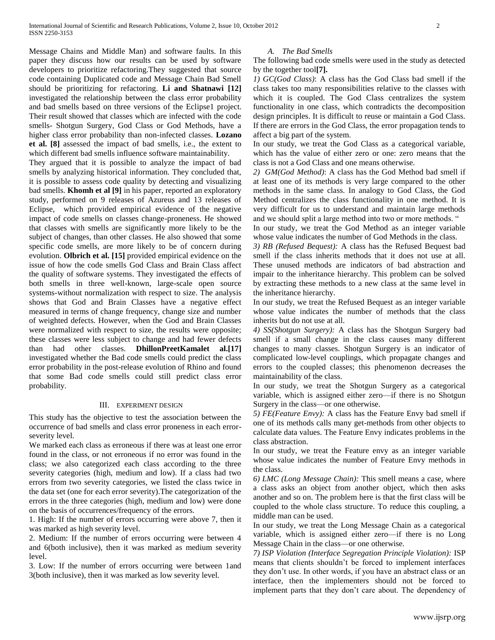Message Chains and Middle Man) and software faults. In this paper they discuss how our results can be used by software developers to prioritize refactoring.They suggested that source code containing Duplicated code and Message Chain Bad Smell should be prioritizing for refactoring. **Li and Shatnawi [12]** investigated the relationship between the class error probability and bad smells based on three versions of the Eclipse1 project. Their result showed that classes which are infected with the code smells- Shotgun Surgery, God Class or God Methods, have a higher class error probability than non-infected classes. **Lozano et al. [8]** assessed the impact of bad smells, i.e., the extent to which different bad smells influence software maintainability.

They argued that it is possible to analyze the impact of bad smells by analyzing historical information. They concluded that, it is possible to assess code quality by detecting and visualizing bad smells. **Khomh et al [9]** in his paper, reported an exploratory study, performed on 9 releases of Azureus and 13 releases of Eclipse, which provided empirical evidence of the negative impact of code smells on classes change-proneness. He showed that classes with smells are significantly more likely to be the subject of changes, than other classes. He also showed that some specific code smells, are more likely to be of concern during evolution. **Olbrich et al. [15]** provided empirical evidence on the issue of how the code smells God Class and Brain Class affect the quality of software systems. They investigated the effects of both smells in three well-known, large-scale open source systems-without normalization with respect to size. The analysis shows that God and Brain Classes have a negative effect measured in terms of change frequency, change size and number of weighted defects. However, when the God and Brain Classes were normalized with respect to size, the results were opposite; these classes were less subject to change and had fewer defects than had other classes. **DhillonPreetKamalet al.[17]** investigated whether the Bad code smells could predict the class error probability in the post-release evolution of Rhino and found that some Bad code smells could still predict class error probability.

# III. EXPERIMENT DESIGN

This study has the objective to test the association between the occurrence of bad smells and class error proneness in each errorseverity level.

We marked each class as erroneous if there was at least one error found in the class, or not erroneous if no error was found in the class; we also categorized each class according to the three severity categories (high, medium and low). If a class had two errors from two severity categories, we listed the class twice in the data set (one for each error severity).The categorization of the errors in the three categories (high, medium and low) were done on the basis of occurrences/frequency of the errors.

1. High: If the number of errors occurring were above 7, then it was marked as high severity level.

2. Medium: If the number of errors occurring were between 4 and 6(both inclusive), then it was marked as medium severity level.

3. Low: If the number of errors occurring were between 1and 3(both inclusive), then it was marked as low severity level.

#### *A. The Bad Smells*

The following bad code smells were used in the study as detected by the together tool**[7].**

*1) GC(God Class)*: A class has the God Class bad smell if the class takes too many responsibilities relative to the classes with which it is coupled. The God Class centralizes the system functionality in one class, which contradicts the decomposition design principles. It is difficult to reuse or maintain a God Class. If there are errors in the God Class, the error propagation tends to affect a big part of the system.

In our study, we treat the God Class as a categorical variable, which has the value of either zero or one: zero means that the class is not a God Class and one means otherwise.

*2) GM(God Method)*: A class has the God Method bad smell if at least one of its methods is very large compared to the other methods in the same class. In analogy to God Class, the God Method centralizes the class functionality in one method. It is very difficult for us to understand and maintain large methods and we should split a large method into two or more methods. "

In our study, we treat the God Method as an integer variable whose value indicates the number of God Methods in the class.

*3) RB (Refused Bequest):* A class has the Refused Bequest bad smell if the class inherits methods that it does not use at all. These unused methods are indicators of bad abstraction and impair to the inheritance hierarchy. This problem can be solved by extracting these methods to a new class at the same level in the inheritance hierarchy.

In our study, we treat the Refused Bequest as an integer variable whose value indicates the number of methods that the class inherits but do not use at all.

*4) SS(Shotgun Surgery):* A class has the Shotgun Surgery bad smell if a small change in the class causes many different changes to many classes. Shotgun Surgery is an indicator of complicated low-level couplings, which propagate changes and errors to the coupled classes; this phenomenon decreases the maintainability of the class.

In our study, we treat the Shotgun Surgery as a categorical variable, which is assigned either zero—if there is no Shotgun Surgery in the class—or one otherwise.

*5) FE(Feature Envy):* A class has the Feature Envy bad smell if one of its methods calls many get-methods from other objects to calculate data values. The Feature Envy indicates problems in the class abstraction.

In our study, we treat the Feature envy as an integer variable whose value indicates the number of Feature Envy methods in the class.

*6) LMC (Long Message Chain):* This smell means a case, where a class asks an object from another object, which then asks another and so on. The problem here is that the first class will be coupled to the whole class structure. To reduce this coupling, a middle man can be used.

In our study, we treat the Long Message Chain as a categorical variable, which is assigned either zero—if there is no Long Message Chain in the class—or one otherwise.

*7) ISP Violation (Interface Segregation Principle Violation):* ISP means that clients shouldn't be forced to implement interfaces they don't use. In other words, if you have an abstract class or an interface, then the implementers should not be forced to implement parts that they don't care about. The dependency of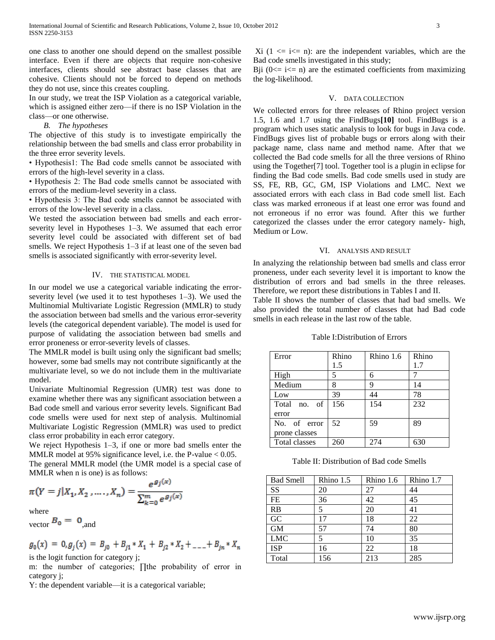one class to another one should depend on the smallest possible interface. Even if there are objects that require non-cohesive interfaces, clients should see abstract base classes that are cohesive. Clients should not be forced to depend on methods they do not use, since this creates coupling.

In our study, we treat the ISP Violation as a categorical variable, which is assigned either zero—if there is no ISP Violation in the class—or one otherwise.

## *B. The hypotheses*

The objective of this study is to investigate empirically the relationship between the bad smells and class error probability in the three error severity levels.

• Hypothesis1: The Bad code smells cannot be associated with errors of the high-level severity in a class.

• Hypothesis 2: The Bad code smells cannot be associated with errors of the medium-level severity in a class.

• Hypothesis 3: The Bad code smells cannot be associated with errors of the low-level severity in a class.

We tested the association between bad smells and each errorseverity level in Hypotheses 1–3. We assumed that each error severity level could be associated with different set of bad smells. We reject Hypothesis 1–3 if at least one of the seven bad smells is associated significantly with error-severity level.

# IV. THE STATISTICAL MODEL

In our model we use a categorical variable indicating the errorseverity level (we used it to test hypotheses 1–3). We used the Multinomial Multivariate Logistic Regression (MMLR) to study the association between bad smells and the various error-severity levels (the categorical dependent variable). The model is used for purpose of validating the association between bad smells and error proneness or error-severity levels of classes.

The MMLR model is built using only the significant bad smells; however, some bad smells may not contribute significantly at the multivariate level, so we do not include them in the multivariate model.

Univariate Multinomial Regression (UMR) test was done to examine whether there was any significant association between a Bad code smell and various error severity levels. Significant Bad code smells were used for next step of analysis. Multinomial Multivariate Logistic Regression (MMLR) was used to predict class error probability in each error category.

We reject Hypothesis 1–3, if one or more bad smells enter the MMLR model at 95% significance level, i.e. the P-value < 0.05.

The general MMLR model (the UMR model is a special case of MMLR when n is one) is as follows: ديدين

$$
\pi(Y = j | X_1, X_2, \dots, X_n) = \frac{e^{g_j(x)}}{\sum_{k=0}^m e^{g_j(x)}}
$$

where

vector  $B_0 = 0$  and

$$
g_0(x) = 0, g_j(x) = B_{j0} + B_{j1} * X_1 + B_{j2} * X_2 + \dots + B_{jn} * X_n
$$
  
is the logit function for category j;

m: the number of categories; ∏the probability of error in category j;

Y: the dependent variable—it is a categorical variable;

Xi  $(1 \le i \le n)$ : are the independent variables, which are the Bad code smells investigated in this study;

Bji  $(0 \le i \le n)$  are the estimated coefficients from maximizing the log-likelihood.

# V. DATA COLLECTION

We collected errors for three releases of Rhino project version 1.5, 1.6 and 1.7 using the FindBugs**[10]** tool. FindBugs is a program which uses static analysis to look for bugs in Java code. FindBugs gives list of probable bugs or errors along with their package name, class name and method name. After that we collected the Bad code smells for all the three versions of Rhino using the Together[7] tool. Together tool is a plugin in eclipse for finding the Bad code smells. Bad code smells used in study are SS, FE, RB, GC, GM, ISP Violations and LMC. Next we associated errors with each class in Bad code smell list. Each class was marked erroneous if at least one error was found and not erroneous if no error was found. After this we further categorized the classes under the error category namely- high, Medium or Low.

# VI. ANALYSIS AND RESULT

In analyzing the relationship between bad smells and class error proneness, under each severity level it is important to know the distribution of errors and bad smells in the three releases. Therefore, we report these distributions in Tables I and II.

Table II shows the number of classes that had bad smells. We also provided the total number of classes that had Bad code smells in each release in the last row of the table.

|  | Table I:Distribution of Errors |  |  |  |
|--|--------------------------------|--|--|--|
|--|--------------------------------|--|--|--|

| Error                | Rhino | Rhino 1.6 | Rhino |
|----------------------|-------|-----------|-------|
|                      | 1.5   |           | 1.7   |
| High                 | 5     | 6         |       |
| Medium               | 8     | Q         | 14    |
| Low                  | 39    | 44        | 78    |
| Total no. of         | 156   | 154       | 232   |
| error                |       |           |       |
| No. of error         | 52    | 59        | 89    |
| prone classes        |       |           |       |
| <b>Total classes</b> | 260   | 274       | 630   |

Table II: Distribution of Bad code Smells

| <b>Bad Smell</b> | Rhino 1.5 | Rhino 1.6 | Rhino 1.7 |
|------------------|-----------|-----------|-----------|
| SS               | 20        | 27        | 44        |
| FE               | 36        | 42        | 45        |
| <b>RB</b>        | 5         | 20        | 41        |
| GC               | 17        | 18        | 22        |
| <b>GM</b>        | 57        | 74        | 80        |
| <b>LMC</b>       | 5         | 10        | 35        |
| <b>ISP</b>       | 16        | 22        | 18        |
| Total            | 156       | 213       | 285       |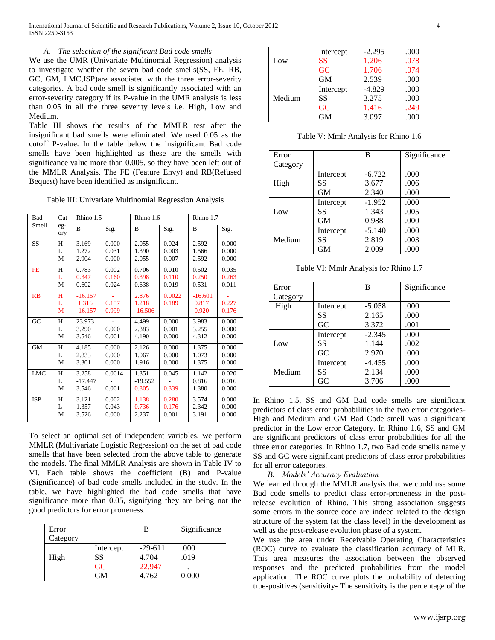International Journal of Scientific and Research Publications, Volume 2, Issue 10, October 2012 4 ISSN 2250-3153

## *A. The selection of the significant Bad code smells*

We use the UMR (Univariate Multinomial Regression) analysis to investigate whether the seven bad code smells(SS, FE, RB, GC, GM, LMC,ISP)are associated with the three error-severity categories. A bad code smell is significantly associated with an error-severity category if its P-value in the UMR analysis is less than 0.05 in all the three severity levels i.e. High, Low and Medium.

Table III shows the results of the MMLR test after the insignificant bad smells were eliminated. We used 0.05 as the cutoff P-value. In the table below the insignificant Bad code smells have been highlighted as these are the smells with significance value more than 0.005, so they have been left out of the MMLR Analysis. The FE (Feature Envy) and RB(Refused Bequest) have been identified as insignificant.

Table III: Univariate Multinomial Regression Analysis

| Bad        | Cat         | Rhino 1.5                       |                         | Rhino 1.6                   |                         | Rhino 1.7                   |                         |
|------------|-------------|---------------------------------|-------------------------|-----------------------------|-------------------------|-----------------------------|-------------------------|
| Smell      | eg-<br>ory  | B                               | Sig.                    | B                           | Sig.                    | B                           | Sig.                    |
| <b>SS</b>  | H<br>L<br>М | 3.169<br>1.272<br>2.904         | 0.000<br>0.031<br>0.000 | 2.055<br>1.390<br>2.055     | 0.024<br>0.003<br>0.007 | 2.592<br>1.566<br>2.592     | 0.000<br>0.000<br>0.000 |
| <b>FE</b>  | H<br>L<br>М | 0.783<br>0.347<br>0.602         | 0.002<br>0.160<br>0.024 | 0.706<br>0.398<br>0.638     | 0.010<br>0.110<br>0.019 | 0.502<br>0.250<br>0.531     | 0.035<br>0.263<br>0.011 |
| RB         | Н<br>L<br>M | $-16.157$<br>1.316<br>$-16.157$ | 0.157<br>0.999          | 2.876<br>1.218<br>$-16.506$ | 0.0022<br>0.189         | $-16.601$<br>0.817<br>0.920 | 0.227<br>0.176          |
| GC         | Н<br>L<br>М | 23.973<br>3.290<br>3.546        | 0.000<br>0.001          | 4.499<br>2.383<br>4.190     | 0.000<br>0.001<br>0.000 | 3.983<br>3.255<br>4.312     | 0.000<br>0.000<br>0.000 |
| <b>GM</b>  | H<br>L<br>М | 4.185<br>2.833<br>3.301         | 0.000<br>0.000<br>0.000 | 2.126<br>1.067<br>1.916     | 0.000<br>0.000<br>0.000 | 1.375<br>1.073<br>1.375     | 0.000<br>0.000<br>0.000 |
| <b>LMC</b> | H<br>L<br>М | 3.258<br>$-17.447$<br>3.546     | 0.0014<br>0.001         | 1.351<br>$-19.552$<br>0.805 | 0.045<br>0.339          | 1.142<br>0.816<br>1.380     | 0.020<br>0.016<br>0.000 |
| <b>ISP</b> | H<br>L<br>M | 3.121<br>1.357<br>3.526         | 0.002<br>0.043<br>0.000 | 1.138<br>0.736<br>2.237     | 0.280<br>0.176<br>0.001 | 3.574<br>2.342<br>3.191     | 0.000<br>0.000<br>0.000 |

To select an optimal set of independent variables, we perform MMLR (Multivariate Logistic Regression) on the set of bad code smells that have been selected from the above table to generate the models. The final MMLR Analysis are shown in Table IV to VI. Each table shows the coefficient (B) and P-value (Significance) of bad code smells included in the study. In the table, we have highlighted the bad code smells that have significance more than 0.05, signifying they are being not the good predictors for error proneness.

| Error<br>Category |                             | В                                       | Significance          |
|-------------------|-----------------------------|-----------------------------------------|-----------------------|
| High              | Intercept<br>SS<br>GC<br>GM | $-29 - 611$<br>4.704<br>22.947<br>4.762 | .000<br>.019<br>0.000 |

|        | Intercept | $-2.295$ | .000 |
|--------|-----------|----------|------|
| Low    | <b>SS</b> | 1.206    | .078 |
|        | GC        | 1.706    | .074 |
|        | <b>GM</b> | 2.539    | .000 |
|        | Intercept | $-4.829$ | .000 |
| Medium | <b>SS</b> | 3.275    | .000 |
|        | GC        | 1.416    | .249 |
|        | <b>GM</b> | 3.097    | .000 |

Table V: Mmlr Analysis for Rhino 1.6

| Error    |           | B        | Significance |
|----------|-----------|----------|--------------|
| Category |           |          |              |
|          | Intercept | $-6.722$ | .000         |
| High     | SS        | 3.677    | .006         |
|          | GM        | 2.340    | .000         |
|          | Intercept | $-1.952$ | .000         |
| Low      | SS        | 1.343    | .005         |
|          | <b>GM</b> | 0.988    | .000         |
|          | Intercept | $-5.140$ | .000         |
| Medium   | SS        | 2.819    | .003         |
|          | GM        | 2.009    | .000         |

Table VI: Mmlr Analysis for Rhino 1.7

| Error    |           | B        | Significance |
|----------|-----------|----------|--------------|
| Category |           |          |              |
| High     | Intercept | $-5.058$ | .000         |
|          | SS        | 2.165    | .000         |
|          | GC        | 3.372    | .001         |
|          | Intercept | $-2.345$ | .000         |
| Low      | SS        | 1.144    | .002         |
|          | GC        | 2.970    | .000         |
|          | Intercept | $-4.455$ | .000         |
| Medium   | SS        | 2.134    | .000         |
|          | GC        | 3.706    | .000         |

In Rhino 1.5, SS and GM Bad code smells are significant predictors of class error probabilities in the two error categories-High and Medium and GM Bad Code smell was a significant predictor in the Low error Category. In Rhino 1.6, SS and GM are significant predictors of class error probabilities for all the three error categories. In Rhino 1.7, two Bad code smells namely SS and GC were significant predictors of class error probabilities for all error categories.

# *B. Models' Accuracy Evaluation*

We learned through the MMLR analysis that we could use some Bad code smells to predict class error-proneness in the postrelease evolution of Rhino. This strong association suggests some errors in the source code are indeed related to the design structure of the system (at the class level) in the development as well as the post-release evolution phase of a system.

We use the area under Receivable Operating Characteristics (ROC) curve to evaluate the classification accuracy of MLR. This area measures the association between the observed responses and the predicted probabilities from the model application. The ROC curve plots the probability of detecting true-positives (sensitivity- The sensitivity is the percentage of the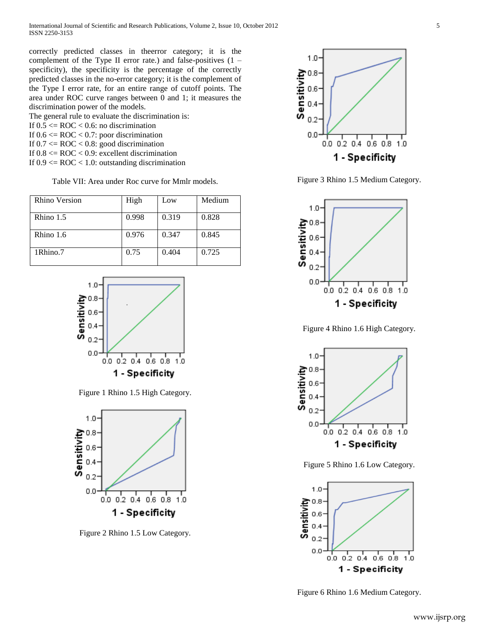correctly predicted classes in theerror category; it is the complement of the Type II error rate.) and false-positives (1 – specificity), the specificity is the percentage of the correctly predicted classes in the no-error category; it is the complement of the Type I error rate, for an entire range of cutoff points. The area under ROC curve ranges between 0 and 1; it measures the discrimination power of the models.

The general rule to evaluate the discrimination is: If  $0.5 \leq ROC \leq 0.6$ : no discrimination If  $0.6 \leq ROC < 0.7$ : poor discrimination If  $0.7 \leq ROC \leq 0.8$ : good discrimination If  $0.8 \leq ROC \leq 0.9$ : excellent discrimination If  $0.9 \leq ROC < 1.0$ : outstanding discrimination

Table VII: Area under Roc curve for Mmlr models.

| Rhino Version | High  | Low   | Medium |
|---------------|-------|-------|--------|
| Rhino 1.5     | 0.998 | 0.319 | 0.828  |
| Rhino 1.6     | 0.976 | 0.347 | 0.845  |
| 1Rhino.7      | 0.75  | 0.404 | 0.725  |



Figure 1 Rhino 1.5 High Category.



Figure 2 Rhino 1.5 Low Category.



Figure 3 Rhino 1.5 Medium Category.



Figure 4 Rhino 1.6 High Category.



Figure 5 Rhino 1.6 Low Category.



Figure 6 Rhino 1.6 Medium Category.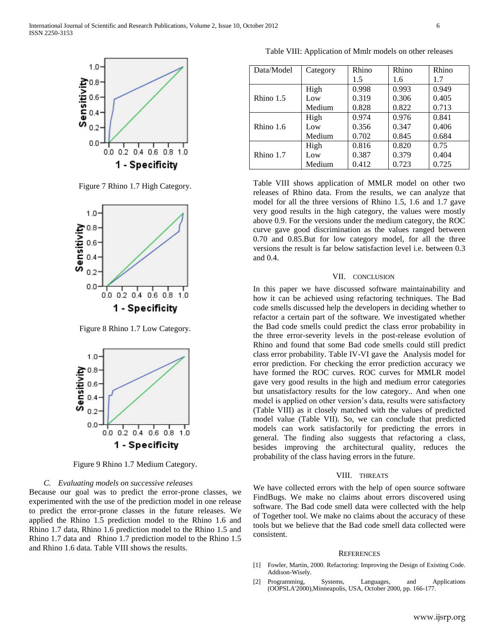

Figure 7 Rhino 1.7 High Category.



Figure 8 Rhino 1.7 Low Category.



Figure 9 Rhino 1.7 Medium Category.

#### *C. Evaluating models on successive releases*

Because our goal was to predict the error-prone classes, we experimented with the use of the prediction model in one release to predict the error-prone classes in the future releases. We applied the Rhino 1.5 prediction model to the Rhino 1.6 and Rhino 1.7 data, Rhino 1.6 prediction model to the Rhino 1.5 and Rhino 1.7 data and Rhino 1.7 prediction model to the Rhino 1.5 and Rhino 1.6 data. Table VIII shows the results.

Table VIII: Application of Mmlr models on other releases

| Data/Model | Category | Rhino | Rhino | Rhino |
|------------|----------|-------|-------|-------|
|            |          | 1.5   | 1.6   | 1.7   |
|            | High     | 0.998 | 0.993 | 0.949 |
| Rhino 1.5  | Low      | 0.319 | 0.306 | 0.405 |
|            | Medium   | 0.828 | 0.822 | 0.713 |
|            | High     | 0.974 | 0.976 | 0.841 |
| Rhino 1.6  | Low      | 0.356 | 0.347 | 0.406 |
|            | Medium   | 0.702 | 0.845 | 0.684 |
|            | High     | 0.816 | 0.820 | 0.75  |
| Rhino 1.7  | Low      | 0.387 | 0.379 | 0.404 |
|            | Medium   | 0.412 | 0.723 | 0.725 |

Table VIII shows application of MMLR model on other two releases of Rhino data. From the results, we can analyze that model for all the three versions of Rhino 1.5, 1.6 and 1.7 gave very good results in the high category, the values were mostly above 0.9. For the versions under the medium category, the ROC curve gave good discrimination as the values ranged between 0.70 and 0.85.But for low category model, for all the three versions the result is far below satisfaction level i.e. between 0.3 and 0.4.

## VII. CONCLUSION

In this paper we have discussed software maintainability and how it can be achieved using refactoring techniques. The Bad code smells discussed help the developers in deciding whether to refactor a certain part of the software. We investigated whether the Bad code smells could predict the class error probability in the three error-severity levels in the post-release evolution of Rhino and found that some Bad code smells could still predict class error probability. Table IV-VI gave the Analysis model for error prediction. For checking the error prediction accuracy we have formed the ROC curves. ROC curves for MMLR model gave very good results in the high and medium error categories but unsatisfactory results for the low category.. And when one model is applied on other version's data, results were satisfactory (Table VIII) as it closely matched with the values of predicted model value (Table VII). So, we can conclude that predicted models can work satisfactorily for predicting the errors in general. The finding also suggests that refactoring a class, besides improving the architectural quality, reduces the probability of the class having errors in the future.

# VIII. THREATS

We have collected errors with the help of open source software FindBugs. We make no claims about errors discovered using software. The Bad code smell data were collected with the help of Together tool. We make no claims about the accuracy of these tools but we believe that the Bad code smell data collected were consistent.

#### **REFERENCES**

- [1] Fowler, Martin, 2000. Refactoring: Improving the Design of Existing Code. Addison-Wisely.
- [2] Programming, Systems, Languages, and Applications (OOPSLA'2000),Minneapolis, USA, October 2000, pp. 166-177.